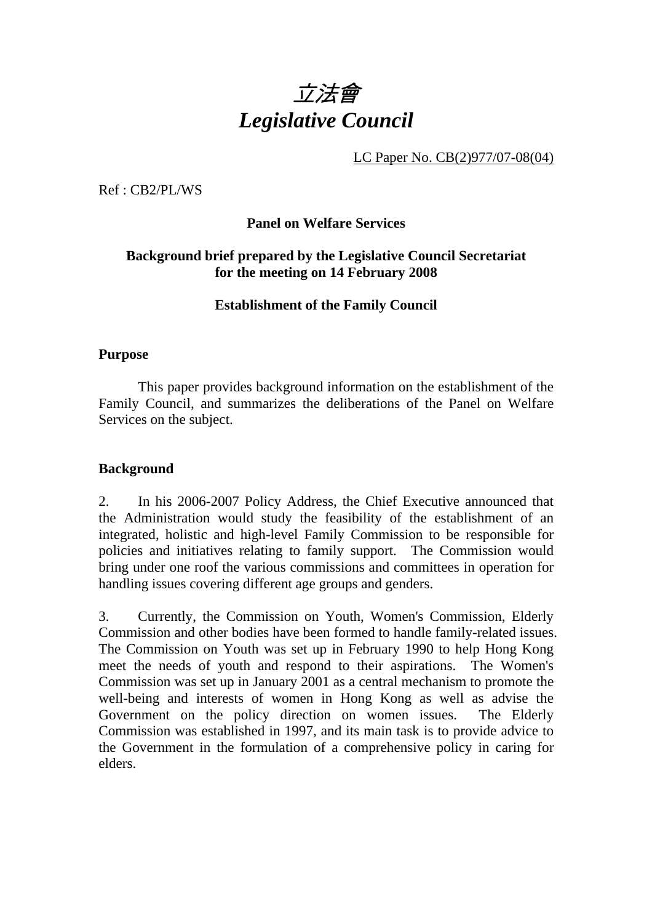

LC Paper No. CB(2)977/07-08(04)

Ref : CB2/PL/WS

# **Panel on Welfare Services**

# **Background brief prepared by the Legislative Council Secretariat for the meeting on 14 February 2008**

**Establishment of the Family Council** 

## **Purpose**

1. This paper provides background information on the establishment of the Family Council, and summarizes the deliberations of the Panel on Welfare Services on the subject.

## **Background**

2. In his 2006-2007 Policy Address, the Chief Executive announced that the Administration would study the feasibility of the establishment of an integrated, holistic and high-level Family Commission to be responsible for policies and initiatives relating to family support. The Commission would bring under one roof the various commissions and committees in operation for handling issues covering different age groups and genders.

3. Currently, the Commission on Youth, Women's Commission, Elderly Commission and other bodies have been formed to handle family-related issues. The Commission on Youth was set up in February 1990 to help Hong Kong meet the needs of youth and respond to their aspirations. The Women's Commission was set up in January 2001 as a central mechanism to promote the well-being and interests of women in Hong Kong as well as advise the Government on the policy direction on women issues. The Elderly Commission was established in 1997, and its main task is to provide advice to the Government in the formulation of a comprehensive policy in caring for elders.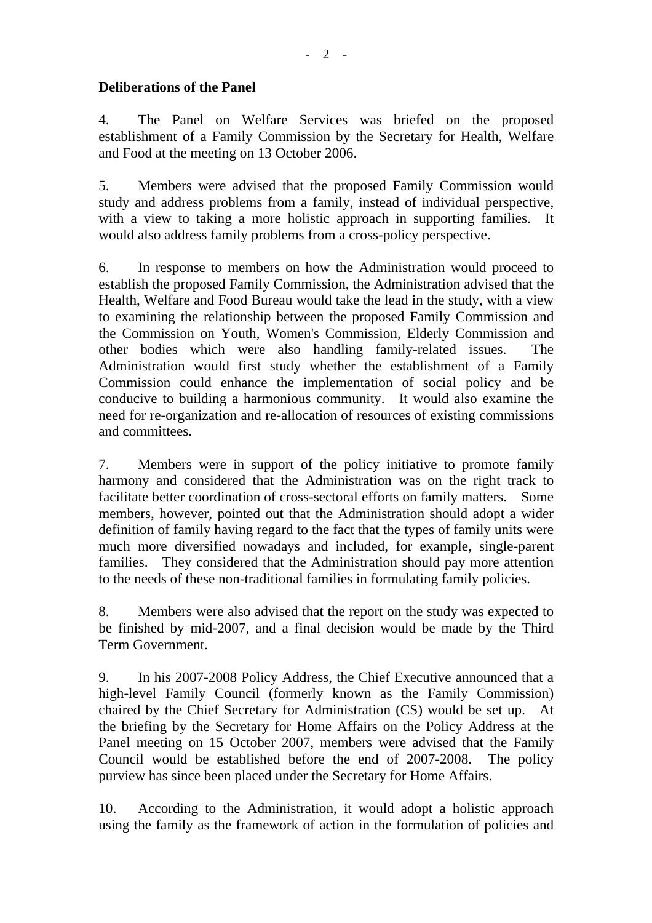# **Deliberations of the Panel**

4. The Panel on Welfare Services was briefed on the proposed establishment of a Family Commission by the Secretary for Health, Welfare and Food at the meeting on 13 October 2006.

5. Members were advised that the proposed Family Commission would study and address problems from a family, instead of individual perspective, with a view to taking a more holistic approach in supporting families. It would also address family problems from a cross-policy perspective.

6. In response to members on how the Administration would proceed to establish the proposed Family Commission, the Administration advised that the Health, Welfare and Food Bureau would take the lead in the study, with a view to examining the relationship between the proposed Family Commission and the Commission on Youth, Women's Commission, Elderly Commission and other bodies which were also handling family-related issues. The Administration would first study whether the establishment of a Family Commission could enhance the implementation of social policy and be conducive to building a harmonious community. It would also examine the need for re-organization and re-allocation of resources of existing commissions and committees.

7. Members were in support of the policy initiative to promote family harmony and considered that the Administration was on the right track to facilitate better coordination of cross-sectoral efforts on family matters. Some members, however, pointed out that the Administration should adopt a wider definition of family having regard to the fact that the types of family units were much more diversified nowadays and included, for example, single-parent families. They considered that the Administration should pay more attention to the needs of these non-traditional families in formulating family policies.

8. Members were also advised that the report on the study was expected to be finished by mid-2007, and a final decision would be made by the Third Term Government.

9. In his 2007-2008 Policy Address, the Chief Executive announced that a high-level Family Council (formerly known as the Family Commission) chaired by the Chief Secretary for Administration (CS) would be set up. At the briefing by the Secretary for Home Affairs on the Policy Address at the Panel meeting on 15 October 2007, members were advised that the Family Council would be established before the end of 2007-2008. The policy purview has since been placed under the Secretary for Home Affairs.

10. According to the Administration, it would adopt a holistic approach using the family as the framework of action in the formulation of policies and